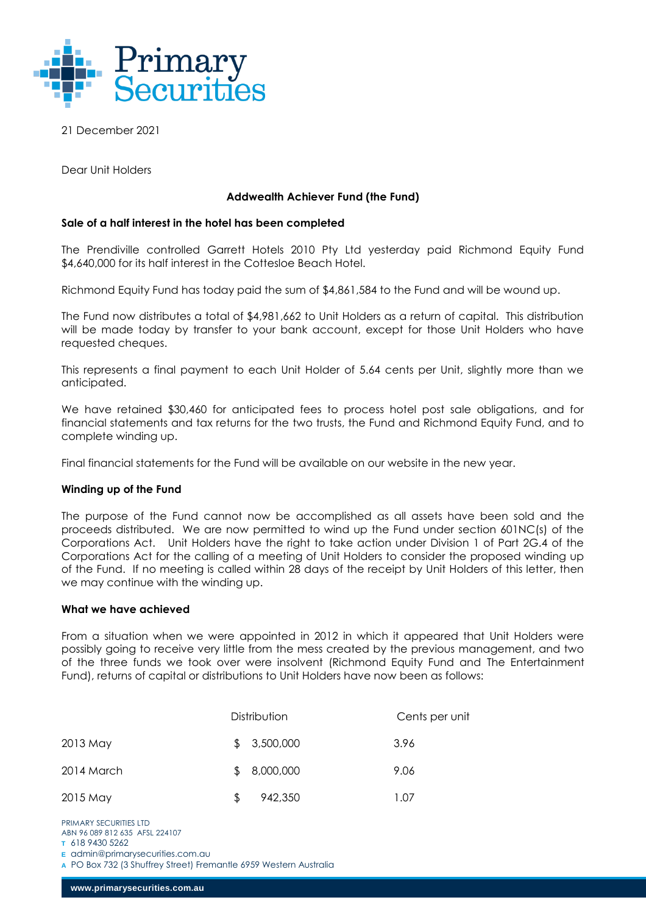

21 December 2021

Dear Unit Holders

# **Addwealth Achiever Fund (the Fund)**

# **Sale of a half interest in the hotel has been completed**

The Prendiville controlled Garrett Hotels 2010 Pty Ltd yesterday paid Richmond Equity Fund \$4,640,000 for its half interest in the Cottesloe Beach Hotel.

Richmond Equity Fund has today paid the sum of \$4,861,584 to the Fund and will be wound up.

The Fund now distributes a total of \$4,981,662 to Unit Holders as a return of capital. This distribution will be made today by transfer to your bank account, except for those Unit Holders who have requested cheques.

This represents a final payment to each Unit Holder of 5.64 cents per Unit, slightly more than we anticipated.

We have retained \$30,460 for anticipated fees to process hotel post sale obligations, and for financial statements and tax returns for the two trusts, the Fund and Richmond Equity Fund, and to complete winding up.

Final financial statements for the Fund will be available on our website in the new year.

## **Winding up of the Fund**

The purpose of the Fund cannot now be accomplished as all assets have been sold and the proceeds distributed. We are now permitted to wind up the Fund under section 601NC(s) of the Corporations Act. Unit Holders have the right to take action under Division 1 of Part 2G.4 of the Corporations Act for the calling of a meeting of Unit Holders to consider the proposed winding up of the Fund. If no meeting is called within 28 days of the receipt by Unit Holders of this letter, then we may continue with the winding up.

## **What we have achieved**

From a situation when we were appointed in 2012 in which it appeared that Unit Holders were possibly going to receive very little from the mess created by the previous management, and two of the three funds we took over were insolvent (Richmond Equity Fund and The Entertainment Fund), returns of capital or distributions to Unit Holders have now been as follows:

|            |     | Distribution | Cents per unit |
|------------|-----|--------------|----------------|
| 2013 May   |     | \$3,500,000  | 3.96           |
| 2014 March | \$. | 8,000,000    | 9.06           |
| 2015 May   | \$  | 942,350      | 1.07           |

PRIMARY SECURITIES LTD ABN 96 089 812 635 AFSL 224107

**A** PO Box 732 (3 Shuffrey Street) Fremantle 6959 Western Australia

**T** 618 9430 5262

**E** [admin@primarysecurities.com.au](mailto:admin@primarysecurities.com.au)